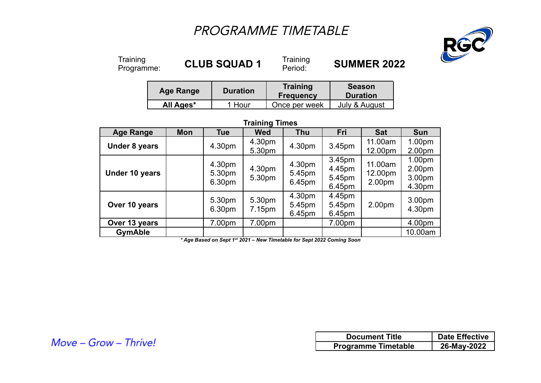## PROGRAMME TIMETABLE



Training<br>Programme:

Programme: **CLUB SQUAD 1**

Training<br>Period:

Period: **SUMMER 2022**

| <b>Age Range</b> | <b>Duration</b> | <b>Training</b><br><b>Frequency</b> | <b>Season</b><br><b>Duration</b> |  |
|------------------|-----------------|-------------------------------------|----------------------------------|--|
| All Ages*        | 1 Hour          | Once per week                       | July & August                    |  |

| <b>Training Times</b> |     |                            |                  |                            |                                      |                                          |                                                              |  |
|-----------------------|-----|----------------------------|------------------|----------------------------|--------------------------------------|------------------------------------------|--------------------------------------------------------------|--|
| <b>Age Range</b>      | Mon | <b>Tue</b>                 | <b>Wed</b>       | <b>Thu</b>                 | Fri                                  | <b>Sat</b>                               | <b>Sun</b>                                                   |  |
| <b>Under 8 years</b>  |     | 4.30pm                     | 4.30pm<br>5.30pm | 4.30pm                     | 3.45pm                               | 11.00am<br>12.00pm                       | 1.00 <sub>pm</sub><br>2.00pm                                 |  |
| Under 10 years        |     | 4.30pm<br>5.30pm<br>6.30pm | 4.30pm<br>5.30pm | 4.30pm<br>5.45pm<br>6.45pm | 3.45pm<br>4.45pm<br>5.45pm<br>6.45pm | 11.00am<br>12.00pm<br>2.00 <sub>pm</sub> | 1.00 <sub>pm</sub><br>2.00 <sub>pm</sub><br>3.00pm<br>4.30pm |  |
| Over 10 years         |     | 5.30pm<br>6.30pm           | 5.30pm<br>7.15pm | 4.30pm<br>5.45pm<br>6.45pm | 4.45pm<br>5.45pm<br>6.45pm           | 2.00pm                                   | 3.00pm<br>4.30pm                                             |  |
| Over 13 years         |     | 7.00pm                     | 7.00pm           |                            | 7.00pm                               |                                          | 4.00pm                                                       |  |
| <b>GymAble</b>        |     |                            |                  |                            |                                      |                                          | 10.00am                                                      |  |

*\* Age Based on Sept 1 st 2021 – New Timetable for Sept 2022 Coming Soon*

|             | <b>Document Title</b>      | <b>Date Effective</b> |
|-------------|----------------------------|-----------------------|
| ' – Thrive! | <b>Programme Timetable</b> | 26-May-2022           |

Move - Grow